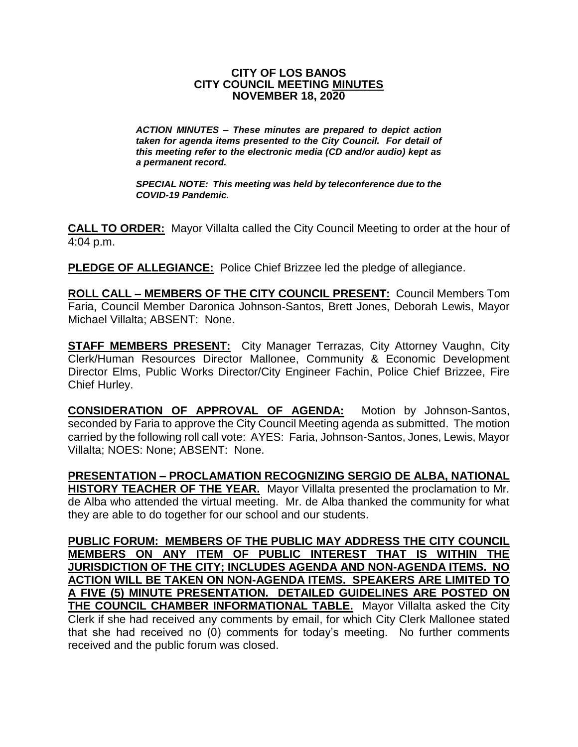## **CITY OF LOS BANOS CITY COUNCIL MEETING MINUTES NOVEMBER 18, 2020**

*ACTION MINUTES – These minutes are prepared to depict action taken for agenda items presented to the City Council. For detail of this meeting refer to the electronic media (CD and/or audio) kept as a permanent record.*

*SPECIAL NOTE: This meeting was held by teleconference due to the COVID-19 Pandemic.*

**CALL TO ORDER:** Mayor Villalta called the City Council Meeting to order at the hour of 4:04 p.m.

**PLEDGE OF ALLEGIANCE:** Police Chief Brizzee led the pledge of allegiance.

**ROLL CALL – MEMBERS OF THE CITY COUNCIL PRESENT:** Council Members Tom Faria, Council Member Daronica Johnson-Santos, Brett Jones, Deborah Lewis, Mayor Michael Villalta; ABSENT: None.

**STAFF MEMBERS PRESENT:** City Manager Terrazas, City Attorney Vaughn, City Clerk/Human Resources Director Mallonee, Community & Economic Development Director Elms, Public Works Director/City Engineer Fachin, Police Chief Brizzee, Fire Chief Hurley.

**CONSIDERATION OF APPROVAL OF AGENDA:** Motion by Johnson-Santos, seconded by Faria to approve the City Council Meeting agenda as submitted. The motion carried by the following roll call vote: AYES: Faria, Johnson-Santos, Jones, Lewis, Mayor Villalta; NOES: None; ABSENT: None.

**PRESENTATION – PROCLAMATION RECOGNIZING SERGIO DE ALBA, NATIONAL HISTORY TEACHER OF THE YEAR.** Mayor Villalta presented the proclamation to Mr. de Alba who attended the virtual meeting. Mr. de Alba thanked the community for what they are able to do together for our school and our students.

**PUBLIC FORUM: MEMBERS OF THE PUBLIC MAY ADDRESS THE CITY COUNCIL MEMBERS ON ANY ITEM OF PUBLIC INTEREST THAT IS WITHIN THE JURISDICTION OF THE CITY; INCLUDES AGENDA AND NON-AGENDA ITEMS. NO ACTION WILL BE TAKEN ON NON-AGENDA ITEMS. SPEAKERS ARE LIMITED TO A FIVE (5) MINUTE PRESENTATION. DETAILED GUIDELINES ARE POSTED ON THE COUNCIL CHAMBER INFORMATIONAL TABLE.** Mayor Villalta asked the City Clerk if she had received any comments by email, for which City Clerk Mallonee stated that she had received no (0) comments for today's meeting. No further comments received and the public forum was closed.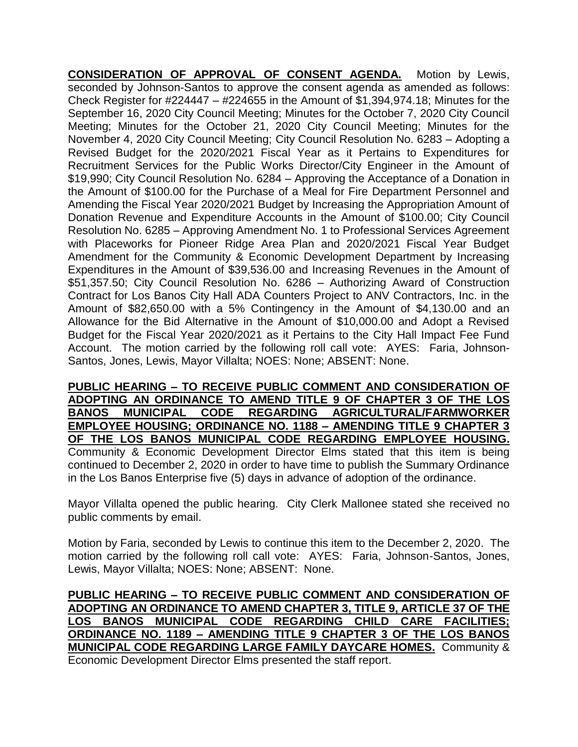**CONSIDERATION OF APPROVAL OF CONSENT AGENDA.** Motion by Lewis, seconded by Johnson-Santos to approve the consent agenda as amended as follows: Check Register for #224447 – #224655 in the Amount of \$1,394,974.18; Minutes for the September 16, 2020 City Council Meeting; Minutes for the October 7, 2020 City Council Meeting; Minutes for the October 21, 2020 City Council Meeting; Minutes for the November 4, 2020 City Council Meeting; City Council Resolution No. 6283 – Adopting a Revised Budget for the 2020/2021 Fiscal Year as it Pertains to Expenditures for Recruitment Services for the Public Works Director/City Engineer in the Amount of \$19,990; City Council Resolution No. 6284 – Approving the Acceptance of a Donation in the Amount of \$100.00 for the Purchase of a Meal for Fire Department Personnel and Amending the Fiscal Year 2020/2021 Budget by Increasing the Appropriation Amount of Donation Revenue and Expenditure Accounts in the Amount of \$100.00; City Council Resolution No. 6285 – Approving Amendment No. 1 to Professional Services Agreement with Placeworks for Pioneer Ridge Area Plan and 2020/2021 Fiscal Year Budget Amendment for the Community & Economic Development Department by Increasing Expenditures in the Amount of \$39,536.00 and Increasing Revenues in the Amount of \$51,357.50; City Council Resolution No. 6286 – Authorizing Award of Construction Contract for Los Banos City Hall ADA Counters Project to ANV Contractors, Inc. in the Amount of \$82,650.00 with a 5% Contingency in the Amount of \$4,130.00 and an Allowance for the Bid Alternative in the Amount of \$10,000.00 and Adopt a Revised Budget for the Fiscal Year 2020/2021 as it Pertains to the City Hall Impact Fee Fund Account. The motion carried by the following roll call vote: AYES: Faria, Johnson-Santos, Jones, Lewis, Mayor Villalta; NOES: None; ABSENT: None.

**PUBLIC HEARING – TO RECEIVE PUBLIC COMMENT AND CONSIDERATION OF ADOPTING AN ORDINANCE TO AMEND TITLE 9 OF CHAPTER 3 OF THE LOS BANOS MUNICIPAL CODE REGARDING AGRICULTURAL/FARMWORKER EMPLOYEE HOUSING; ORDINANCE NO. 1188 – AMENDING TITLE 9 CHAPTER 3 OF THE LOS BANOS MUNICIPAL CODE REGARDING EMPLOYEE HOUSING.** Community & Economic Development Director Elms stated that this item is being continued to December 2, 2020 in order to have time to publish the Summary Ordinance in the Los Banos Enterprise five (5) days in advance of adoption of the ordinance.

Mayor Villalta opened the public hearing. City Clerk Mallonee stated she received no public comments by email.

Motion by Faria, seconded by Lewis to continue this item to the December 2, 2020. The motion carried by the following roll call vote: AYES: Faria, Johnson-Santos, Jones, Lewis, Mayor Villalta; NOES: None; ABSENT: None.

**PUBLIC HEARING – TO RECEIVE PUBLIC COMMENT AND CONSIDERATION OF ADOPTING AN ORDINANCE TO AMEND CHAPTER 3, TITLE 9, ARTICLE 37 OF THE LOS BANOS MUNICIPAL CODE REGARDING CHILD CARE FACILITIES; ORDINANCE NO. 1189 – AMENDING TITLE 9 CHAPTER 3 OF THE LOS BANOS MUNICIPAL CODE REGARDING LARGE FAMILY DAYCARE HOMES.** Community & Economic Development Director Elms presented the staff report.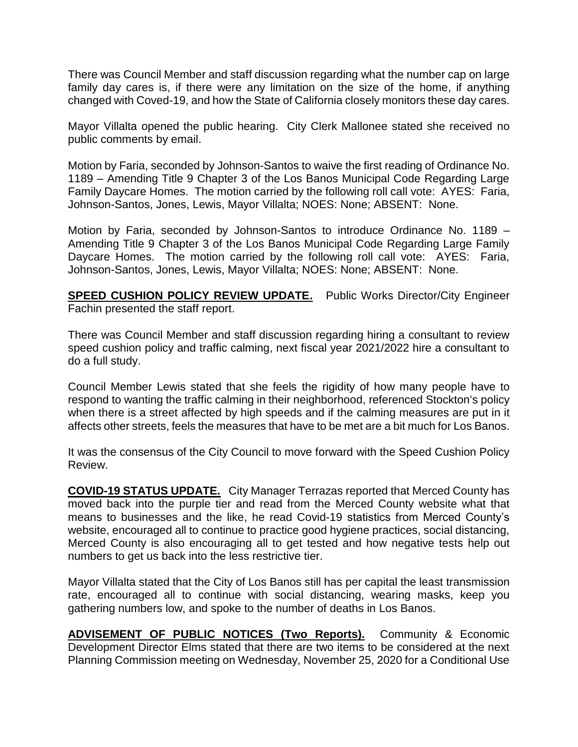There was Council Member and staff discussion regarding what the number cap on large family day cares is, if there were any limitation on the size of the home, if anything changed with Coved-19, and how the State of California closely monitors these day cares.

Mayor Villalta opened the public hearing. City Clerk Mallonee stated she received no public comments by email.

Motion by Faria, seconded by Johnson-Santos to waive the first reading of Ordinance No. 1189 – Amending Title 9 Chapter 3 of the Los Banos Municipal Code Regarding Large Family Daycare Homes. The motion carried by the following roll call vote: AYES: Faria, Johnson-Santos, Jones, Lewis, Mayor Villalta; NOES: None; ABSENT: None.

Motion by Faria, seconded by Johnson-Santos to introduce Ordinance No. 1189 – Amending Title 9 Chapter 3 of the Los Banos Municipal Code Regarding Large Family Daycare Homes. The motion carried by the following roll call vote: AYES: Faria, Johnson-Santos, Jones, Lewis, Mayor Villalta; NOES: None; ABSENT: None.

**SPEED CUSHION POLICY REVIEW UPDATE.** Public Works Director/City Engineer Fachin presented the staff report.

There was Council Member and staff discussion regarding hiring a consultant to review speed cushion policy and traffic calming, next fiscal year 2021/2022 hire a consultant to do a full study.

Council Member Lewis stated that she feels the rigidity of how many people have to respond to wanting the traffic calming in their neighborhood, referenced Stockton's policy when there is a street affected by high speeds and if the calming measures are put in it affects other streets, feels the measures that have to be met are a bit much for Los Banos.

It was the consensus of the City Council to move forward with the Speed Cushion Policy Review.

**COVID-19 STATUS UPDATE.** City Manager Terrazas reported that Merced County has moved back into the purple tier and read from the Merced County website what that means to businesses and the like, he read Covid-19 statistics from Merced County's website, encouraged all to continue to practice good hygiene practices, social distancing, Merced County is also encouraging all to get tested and how negative tests help out numbers to get us back into the less restrictive tier.

Mayor Villalta stated that the City of Los Banos still has per capital the least transmission rate, encouraged all to continue with social distancing, wearing masks, keep you gathering numbers low, and spoke to the number of deaths in Los Banos.

**ADVISEMENT OF PUBLIC NOTICES (Two Reports).** Community & Economic Development Director Elms stated that there are two items to be considered at the next Planning Commission meeting on Wednesday, November 25, 2020 for a Conditional Use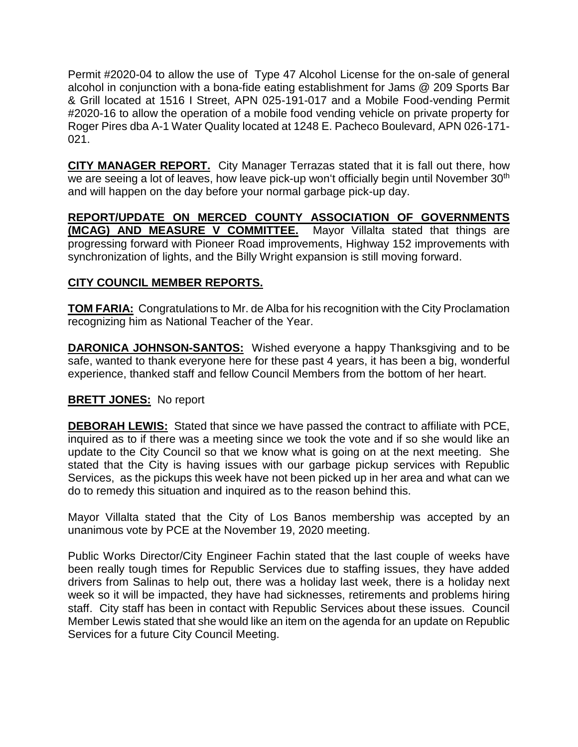Permit #2020-04 to allow the use of Type 47 Alcohol License for the on-sale of general alcohol in conjunction with a bona-fide eating establishment for Jams @ 209 Sports Bar & Grill located at 1516 I Street, APN 025-191-017 and a Mobile Food-vending Permit #2020-16 to allow the operation of a mobile food vending vehicle on private property for Roger Pires dba A-1 Water Quality located at 1248 E. Pacheco Boulevard, APN 026-171- 021.

**CITY MANAGER REPORT.** City Manager Terrazas stated that it is fall out there, how we are seeing a lot of leaves, how leave pick-up won't officially begin until November 30<sup>th</sup> and will happen on the day before your normal garbage pick-up day.

**REPORT/UPDATE ON MERCED COUNTY ASSOCIATION OF GOVERNMENTS (MCAG) AND MEASURE V COMMITTEE.** Mayor Villalta stated that things are progressing forward with Pioneer Road improvements, Highway 152 improvements with synchronization of lights, and the Billy Wright expansion is still moving forward.

## **CITY COUNCIL MEMBER REPORTS.**

**TOM FARIA:** Congratulations to Mr. de Alba for his recognition with the City Proclamation recognizing him as National Teacher of the Year.

**DARONICA JOHNSON-SANTOS:** Wished everyone a happy Thanksgiving and to be safe, wanted to thank everyone here for these past 4 years, it has been a big, wonderful experience, thanked staff and fellow Council Members from the bottom of her heart.

## **BRETT JONES:** No report

**DEBORAH LEWIS:** Stated that since we have passed the contract to affiliate with PCE, inquired as to if there was a meeting since we took the vote and if so she would like an update to the City Council so that we know what is going on at the next meeting. She stated that the City is having issues with our garbage pickup services with Republic Services, as the pickups this week have not been picked up in her area and what can we do to remedy this situation and inquired as to the reason behind this.

Mayor Villalta stated that the City of Los Banos membership was accepted by an unanimous vote by PCE at the November 19, 2020 meeting.

Public Works Director/City Engineer Fachin stated that the last couple of weeks have been really tough times for Republic Services due to staffing issues, they have added drivers from Salinas to help out, there was a holiday last week, there is a holiday next week so it will be impacted, they have had sicknesses, retirements and problems hiring staff. City staff has been in contact with Republic Services about these issues. Council Member Lewis stated that she would like an item on the agenda for an update on Republic Services for a future City Council Meeting.